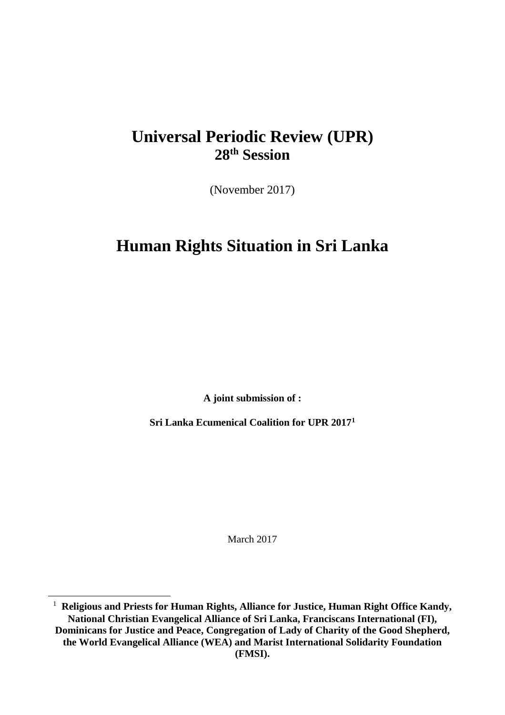# **Universal Periodic Review (UPR) 28th Session**

(November 2017)

# **Human Rights Situation in Sri Lanka**

**A joint submission of :**

**Sri Lanka Ecumenical Coalition for UPR 2017<sup>1</sup>**

March 2017

<sup>&</sup>lt;sup>1</sup> Religious and Priests for Human Rights, Alliance for Justice, Human Right Office Kandy, **National Christian Evangelical Alliance of Sri Lanka, Franciscans International (FI), Dominicans for Justice and Peace, Congregation of Lady of Charity of the Good Shepherd, the World Evangelical Alliance (WEA) and Marist International Solidarity Foundation (FMSI).**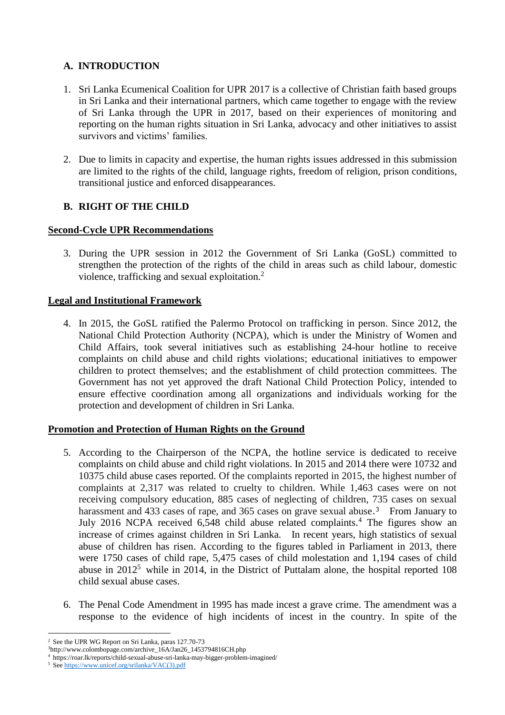# **A. INTRODUCTION**

- 1. Sri Lanka Ecumenical Coalition for UPR 2017 is a collective of Christian faith based groups in Sri Lanka and their international partners, which came together to engage with the review of Sri Lanka through the UPR in 2017, based on their experiences of monitoring and reporting on the human rights situation in Sri Lanka, advocacy and other initiatives to assist survivors and victims' families.
- 2. Due to limits in capacity and expertise, the human rights issues addressed in this submission are limited to the rights of the child, language rights, freedom of religion, prison conditions, transitional justice and enforced disappearances.

# **B. RIGHT OF THE CHILD**

### **Second-Cycle UPR Recommendations**

3. During the UPR session in 2012 the Government of Sri Lanka (GoSL) committed to strengthen the protection of the rights of the child in areas such as child labour, domestic violence, trafficking and sexual exploitation.<sup>2</sup>

### **Legal and Institutional Framework**

4. In 2015, the GoSL ratified the Palermo Protocol on trafficking in person. Since 2012, the National Child Protection Authority (NCPA), which is under the Ministry of Women and Child Affairs, took several initiatives such as establishing 24-hour hotline to receive complaints on child abuse and child rights violations; educational initiatives to empower children to protect themselves; and the establishment of child protection committees. The Government has not yet approved the draft National Child Protection Policy, intended to ensure effective coordination among all organizations and individuals working for the protection and development of children in Sri Lanka.

#### **Promotion and Protection of Human Rights on the Ground**

- 5. According to the Chairperson of the NCPA, the hotline service is dedicated to receive complaints on child abuse and child right violations. In 2015 and 2014 there were 10732 and 10375 child abuse cases reported. Of the complaints reported in 2015, the highest number of complaints at 2,317 was related to cruelty to children. While 1,463 cases were on not receiving compulsory education, 885 cases of neglecting of children, 735 cases on sexual harassment and 433 cases of rape, and 365 cases on grave sexual abuse.<sup>3</sup> From January to July 2016 NCPA received 6,548 child abuse related complaints.<sup>4</sup> The figures show an increase of crimes against children in Sri Lanka. In recent years, high statistics of sexual abuse of children has risen. According to the figures tabled in Parliament in 2013, there were 1750 cases of child rape, 5,475 cases of child molestation and 1,194 cases of child abuse in 2012<sup>5</sup> while in 2014, in the District of Puttalam alone, the hospital reported 108 child sexual abuse cases.
- 6. The Penal Code Amendment in 1995 has made incest a grave crime. The amendment was a response to the evidence of high incidents of incest in the country. In spite of the

<sup>2</sup> See the UPR WG Report on Sri Lanka, paras 127.70-73

<sup>3</sup>http://www.colombopage.com/archive\_16A/Jan26\_1453794816CH.php

<sup>4</sup> https://roar.lk/reports/child-sexual-abuse-sri-lanka-may-bigger-problem-imagined/

<sup>5</sup> See [https://www.unicef.org/srilanka/VAC\(3\).pdf](https://www.unicef.org/srilanka/VAC(3).pdf)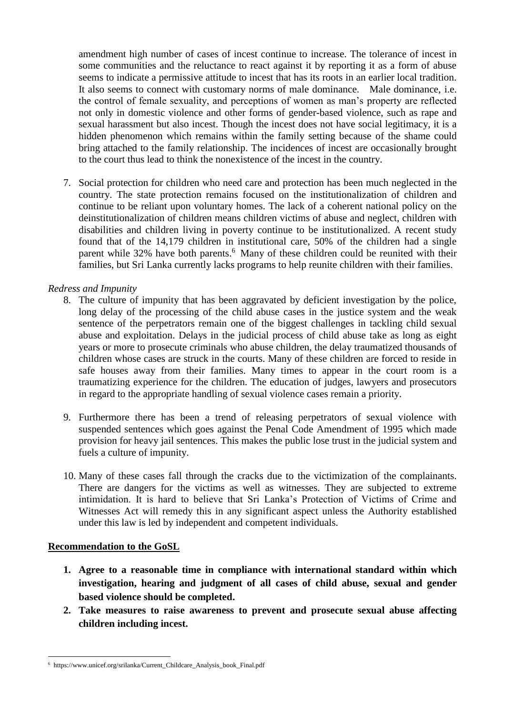amendment high number of cases of incest continue to increase. The tolerance of incest in some communities and the reluctance to react against it by reporting it as a form of abuse seems to indicate a permissive attitude to incest that has its roots in an earlier local tradition. It also seems to connect with customary norms of male dominance. Male dominance, i.e. the control of female sexuality, and perceptions of women as man's property are reflected not only in domestic violence and other forms of gender-based violence, such as rape and sexual harassment but also incest. Though the incest does not have social legitimacy, it is a hidden phenomenon which remains within the family setting because of the shame could bring attached to the family relationship. The incidences of incest are occasionally brought to the court thus lead to think the nonexistence of the incest in the country.

7. Social protection for children who need care and protection has been much neglected in the country. The state protection remains focused on the institutionalization of children and continue to be reliant upon voluntary homes. The lack of a coherent national policy on the deinstitutionalization of children means children victims of abuse and neglect, children with disabilities and children living in poverty continue to be institutionalized. A recent study found that of the 14,179 children in institutional care, 50% of the children had a single parent while 32% have both parents.<sup>6</sup> Many of these children could be reunited with their families, but Sri Lanka currently lacks programs to help reunite children with their families.

### *Redress and Impunity*

- 8. The culture of impunity that has been aggravated by deficient investigation by the police, long delay of the processing of the child abuse cases in the justice system and the weak sentence of the perpetrators remain one of the biggest challenges in tackling child sexual abuse and exploitation. Delays in the judicial process of child abuse take as long as eight years or more to prosecute criminals who abuse children, the delay traumatized thousands of children whose cases are struck in the courts. Many of these children are forced to reside in safe houses away from their families. Many times to appear in the court room is a traumatizing experience for the children. The education of judges, lawyers and prosecutors in regard to the appropriate handling of sexual violence cases remain a priority.
- 9. Furthermore there has been a trend of releasing perpetrators of sexual violence with suspended sentences which goes against the Penal Code Amendment of 1995 which made provision for heavy jail sentences. This makes the public lose trust in the judicial system and fuels a culture of impunity.
- 10. Many of these cases fall through the cracks due to the victimization of the complainants. There are dangers for the victims as well as witnesses. They are subjected to extreme intimidation. It is hard to believe that Sri Lanka's Protection of Victims of Crime and Witnesses Act will remedy this in any significant aspect unless the Authority established under this law is led by independent and competent individuals.

#### **Recommendation to the GoSL**

- **1. Agree to a reasonable time in compliance with international standard within which investigation, hearing and judgment of all cases of child abuse, sexual and gender based violence should be completed.**
- **2. Take measures to raise awareness to prevent and prosecute sexual abuse affecting children including incest.**

<sup>6</sup> https://www.unicef.org/srilanka/Current\_Childcare\_Analysis\_book\_Final.pdf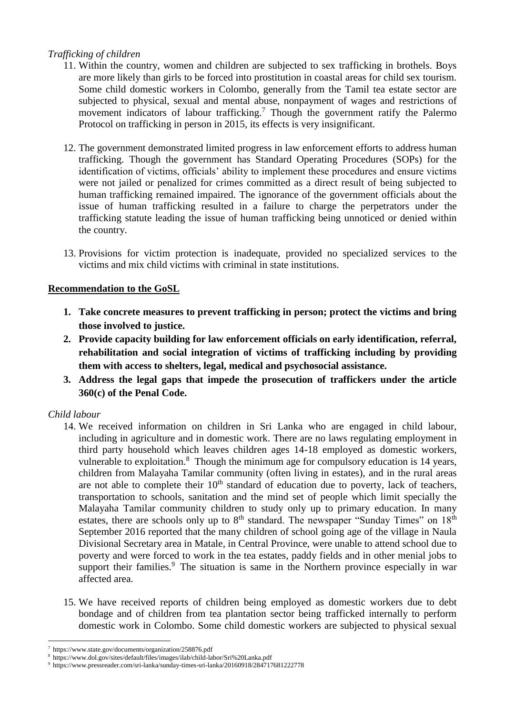## *Trafficking of children*

- 11. Within the country, women and children are subjected to sex trafficking in brothels. Boys are more likely than girls to be forced into prostitution in coastal areas for child sex tourism. Some child domestic workers in Colombo, generally from the Tamil tea estate sector are subjected to physical, sexual and mental abuse, nonpayment of wages and restrictions of movement indicators of labour trafficking.<sup>7</sup> Though the government ratify the Palermo Protocol on trafficking in person in 2015, its effects is very insignificant.
- 12. The government demonstrated limited progress in law enforcement efforts to address human trafficking. Though the government has Standard Operating Procedures (SOPs) for the identification of victims, officials' ability to implement these procedures and ensure victims were not jailed or penalized for crimes committed as a direct result of being subjected to human trafficking remained impaired. The ignorance of the government officials about the issue of human trafficking resulted in a failure to charge the perpetrators under the trafficking statute leading the issue of human trafficking being unnoticed or denied within the country.
- 13. Provisions for victim protection is inadequate, provided no specialized services to the victims and mix child victims with criminal in state institutions.

## **Recommendation to the GoSL**

- **1. Take concrete measures to prevent trafficking in person; protect the victims and bring those involved to justice.**
- **2. Provide capacity building for law enforcement officials on early identification, referral, rehabilitation and social integration of victims of trafficking including by providing them with access to shelters, legal, medical and psychosocial assistance.**
- **3. Address the legal gaps that impede the prosecution of traffickers under the article 360(c) of the Penal Code.**

# *Child labour*

- 14. We received information on children in Sri Lanka who are engaged in child labour, including in agriculture and in domestic work. There are no laws regulating employment in third party household which leaves children ages 14-18 employed as domestic workers, vulnerable to exploitation.<sup>8</sup> Though the minimum age for compulsory education is 14 years, children from Malayaha Tamilar community (often living in estates), and in the rural areas are not able to complete their  $10<sup>th</sup>$  standard of education due to poverty, lack of teachers, transportation to schools, sanitation and the mind set of people which limit specially the Malayaha Tamilar community children to study only up to primary education. In many estates, there are schools only up to  $8<sup>th</sup>$  standard. The newspaper "Sunday Times" on  $18<sup>th</sup>$ September 2016 reported that the many children of school going age of the village in Naula Divisional Secretary area in Matale, in Central Province, were unable to attend school due to poverty and were forced to work in the tea estates, paddy fields and in other menial jobs to support their families.<sup>9</sup> The situation is same in the Northern province especially in war affected area.
- 15. We have received reports of children being employed as domestic workers due to debt bondage and of children from tea plantation sector being trafficked internally to perform domestic work in Colombo. Some child domestic workers are subjected to physical sexual

 $\overline{a}$ <sup>7</sup> https://www.state.gov/documents/organization/258876.pdf

<sup>8</sup> https://www.dol.gov/sites/default/files/images/ilab/child-labor/Sri%20Lanka.pdf

<sup>9</sup> https://www.pressreader.com/sri-lanka/sunday-times-sri-lanka/20160918/284717681222778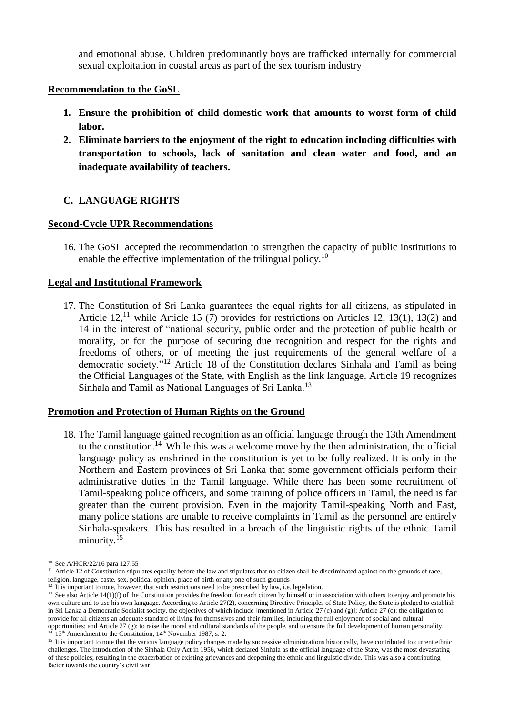and emotional abuse. Children predominantly boys are trafficked internally for commercial sexual exploitation in coastal areas as part of the sex tourism industry

### **Recommendation to the GoSL**

- **1. Ensure the prohibition of child domestic work that amounts to worst form of child labor.**
- **2. Eliminate barriers to the enjoyment of the right to education including difficulties with transportation to schools, lack of sanitation and clean water and food, and an inadequate availability of teachers.**

## **C. LANGUAGE RIGHTS**

### **Second-Cycle UPR Recommendations**

16. The GoSL accepted the recommendation to strengthen the capacity of public institutions to enable the effective implementation of the trilingual policy.<sup>10</sup>

## **Legal and Institutional Framework**

17. The Constitution of Sri Lanka guarantees the equal rights for all citizens, as stipulated in Article  $12$ ,<sup>11</sup> while Article 15 (7) provides for restrictions on Articles 12, 13(1), 13(2) and 14 in the interest of "national security, public order and the protection of public health or morality, or for the purpose of securing due recognition and respect for the rights and freedoms of others, or of meeting the just requirements of the general welfare of a democratic society."<sup>12</sup> Article 18 of the Constitution declares Sinhala and Tamil as being the Official Languages of the State, with English as the link language. Article 19 recognizes Sinhala and Tamil as National Languages of Sri Lanka.<sup>13</sup>

#### **Promotion and Protection of Human Rights on the Ground**

18. The Tamil language gained recognition as an official language through the 13th Amendment to the constitution.<sup>14</sup> While this was a welcome move by the then administration, the official language policy as enshrined in the constitution is yet to be fully realized. It is only in the Northern and Eastern provinces of Sri Lanka that some government officials perform their administrative duties in the Tamil language. While there has been some recruitment of Tamil-speaking police officers, and some training of police officers in Tamil, the need is far greater than the current provision. Even in the majority Tamil-speaking North and East, many police stations are unable to receive complaints in Tamil as the personnel are entirely Sinhala-speakers. This has resulted in a breach of the linguistic rights of the ethnic Tamil minority.<sup>15</sup>

 $\overline{a}$ <sup>10</sup> See A/HCR/22/16 para 127.55

<sup>&</sup>lt;sup>11</sup> Article 12 of Constitution stipulates equality before the law and stipulates that no citizen shall be discriminated against on the grounds of race, religion, language, caste, sex, political opinion, place of birth or any one of such grounds

<sup>&</sup>lt;sup>12</sup> It is important to note, however, that such restrictions need to be prescribed by law, i.e. legislation.

<sup>&</sup>lt;sup>13</sup> See also Article 14(1)(f) of the Constitution provides the freedom for each citizen by himself or in association with others to enjoy and promote his own culture and to use his own language. According to Article 27(2), concerning Directive Principles of State Policy, the State is pledged to establish in Sri Lanka a Democratic Socialist society, the objectives of which include [mentioned in Article 27 (c) and (g)]; Article 27 (c): the obligation to provide for all citizens an adequate standard of living for themselves and their families, including the full enjoyment of social and cultural opportunities; and Article 27 (g): to raise the moral and cultural standards of the people, and to ensure the full development of human personality. 13<sup>th</sup> Amendment to the Constitution, 14<sup>th</sup> November 1987, s. 2.

<sup>&</sup>lt;sup>15</sup> It is important to note that the various language policy changes made by successive administrations historically, have contributed to current ethnic challenges. The introduction of the Sinhala Only Act in 1956, which declared Sinhala as the official language of the State, was the most devastating of these policies; resulting in the exacerbation of existing grievances and deepening the ethnic and linguistic divide. This was also a contributing factor towards the country's civil war.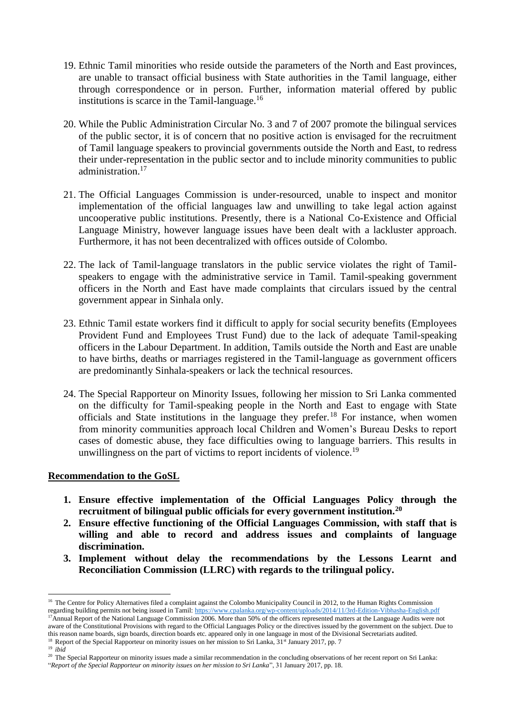- 19. Ethnic Tamil minorities who reside outside the parameters of the North and East provinces, are unable to transact official business with State authorities in the Tamil language, either through correspondence or in person. Further, information material offered by public institutions is scarce in the Tamil-language. $16$
- 20. While the Public Administration Circular No. 3 and 7 of 2007 promote the bilingual services of the public sector, it is of concern that no positive action is envisaged for the recruitment of Tamil language speakers to provincial governments outside the North and East, to redress their under-representation in the public sector and to include minority communities to public administration.<sup>17</sup>
- 21. The Official Languages Commission is under-resourced, unable to inspect and monitor implementation of the official languages law and unwilling to take legal action against uncooperative public institutions. Presently, there is a National Co-Existence and Official Language Ministry, however language issues have been dealt with a lackluster approach. Furthermore, it has not been decentralized with offices outside of Colombo.
- 22. The lack of Tamil-language translators in the public service violates the right of Tamilspeakers to engage with the administrative service in Tamil. Tamil-speaking government officers in the North and East have made complaints that circulars issued by the central government appear in Sinhala only.
- 23. Ethnic Tamil estate workers find it difficult to apply for social security benefits (Employees Provident Fund and Employees Trust Fund) due to the lack of adequate Tamil-speaking officers in the Labour Department. In addition, Tamils outside the North and East are unable to have births, deaths or marriages registered in the Tamil-language as government officers are predominantly Sinhala-speakers or lack the technical resources.
- 24. The Special Rapporteur on Minority Issues, following her mission to Sri Lanka commented on the difficulty for Tamil-speaking people in the North and East to engage with State officials and State institutions in the language they prefer.<sup>18</sup> For instance, when women from minority communities approach local Children and Women's Bureau Desks to report cases of domestic abuse, they face difficulties owing to language barriers. This results in unwillingness on the part of victims to report incidents of violence.<sup>19</sup>

#### **Recommendation to the GoSL**

- **1. Ensure effective implementation of the Official Languages Policy through the recruitment of bilingual public officials for every government institution.<sup>20</sup>**
- **2. Ensure effective functioning of the Official Languages Commission, with staff that is willing and able to record and address issues and complaints of language discrimination.**
- **3. Implement without delay the recommendations by the Lessons Learnt and Reconciliation Commission (LLRC) with regards to the trilingual policy.**

<sup>&</sup>lt;sup>16</sup> The Centre for Policy Alternatives filed a complaint against the Colombo Municipality Council in 2012, to the Human Rights Commission regarding building permits not being issued in Tamil[: https://www.cpalanka.org/wp-content/uploads/2014/11/3rd-Edition-Vibhasha-English.pdf](https://www.cpalanka.org/wp-content/uploads/2014/11/3rd-Edition-Vibhasha-English.pdf)

<sup>&</sup>lt;sup>17</sup>Annual Report of the National Language Commission 2006. More than 50% of the officers represented matters at the Language Audits were not aware of the Constitutional Provisions with regard to the Official Languages Policy or the directives issued by the government on the subject. Due to this reason name boards, sign boards, direction boards etc. appeared only in one language in most of the Divisional Secretariats audited. <sup>18</sup> Report of the Special Rapporteur on minority issues on her mission to Sri Lanka, 31<sup>st</sup> January 2017, pp. 7

<sup>19</sup> *ibid*

<sup>&</sup>lt;sup>20</sup> The Special Rapporteur on minority issues made a similar recommendation in the concluding observations of her recent report on Sri Lanka: "*Report of the Special Rapporteur on minority issues on her mission to Sri Lanka*", 31 January 2017, pp. 18.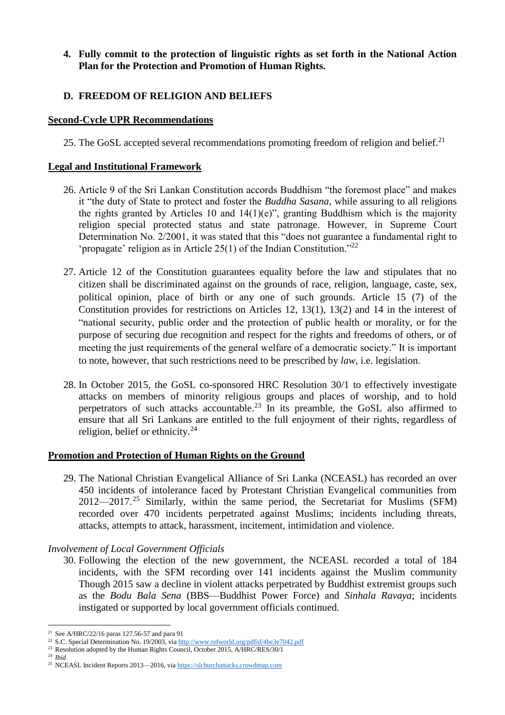## **4. Fully commit to the protection of linguistic rights as set forth in the National Action Plan for the Protection and Promotion of Human Rights.**

## **D. FREEDOM OF RELIGION AND BELIEFS**

#### **Second-Cycle UPR Recommendations**

25. The GoSL accepted several recommendations promoting freedom of religion and belief.<sup>21</sup>

#### **Legal and Institutional Framework**

- 26. Article 9 of the Sri Lankan Constitution accords Buddhism "the foremost place" and makes it "the duty of State to protect and foster the *Buddha Sasana*, while assuring to all religions the rights granted by Articles 10 and  $14(1)(e)$ ", granting Buddhism which is the majority religion special protected status and state patronage. However, in Supreme Court Determination No. 2/2001, it was stated that this "does not guarantee a fundamental right to 'propagate' religion as in Article 25(1) of the Indian Constitution."<sup>22</sup>
- 27. Article 12 of the Constitution guarantees equality before the law and stipulates that no citizen shall be discriminated against on the grounds of race, religion, language, caste, sex, political opinion, place of birth or any one of such grounds. Article 15 (7) of the Constitution provides for restrictions on Articles 12, 13(1), 13(2) and 14 in the interest of "national security, public order and the protection of public health or morality, or for the purpose of securing due recognition and respect for the rights and freedoms of others, or of meeting the just requirements of the general welfare of a democratic society." It is important to note, however, that such restrictions need to be prescribed by *law*, i.e. legislation.
- 28. In October 2015, the GoSL co-sponsored HRC Resolution 30/1 to effectively investigate attacks on members of minority religious groups and places of worship, and to hold perpetrators of such attacks accountable.<sup>23</sup> In its preamble, the GoSL also affirmed to ensure that all Sri Lankans are entitled to the full enjoyment of their rights, regardless of religion, belief or ethnicity.<sup>24</sup>

#### **Promotion and Protection of Human Rights on the Ground**

29. The National Christian Evangelical Alliance of Sri Lanka (NCEASL) has recorded an over 450 incidents of intolerance faced by Protestant Christian Evangelical communities from  $2012 - 2017$ <sup>25</sup> Similarly, within the same period, the Secretariat for Muslims (SFM) recorded over 470 incidents perpetrated against Muslims; incidents including threats, attacks, attempts to attack, harassment, incitement, intimidation and violence.

#### *Involvement of Local Government Officials*

30. Following the election of the new government, the NCEASL recorded a total of 184 incidents, with the SFM recording over 141 incidents against the Muslim community Though 2015 saw a decline in violent attacks perpetrated by Buddhist extremist groups such as the *Bodu Bala Sena* (BBS—Buddhist Power Force) and *Sinhala Ravaya*; incidents instigated or supported by local government officials continued.

 $\overline{a}$ <sup>21</sup> See A/HRC/22/16 paras 127.56-57 and para 91

<sup>&</sup>lt;sup>22</sup> S.C. Special Determination No. 19/2003, vi[a http://www.refworld.org/pdfid/4be3e7042.pdf](http://www.refworld.org/pdfid/4be3e7042.pdf)

<sup>&</sup>lt;sup>23</sup> Resolution adopted by the Human Rights Council, October 2015, A/HRC/RES/30/1

<sup>24</sup> *Ibid*

<sup>&</sup>lt;sup>25</sup> NCEASL Incident Reports 2013—2016, via [https://slchurchattacks.crowdmap.com](https://slchurchattacks.crowdmap.com/)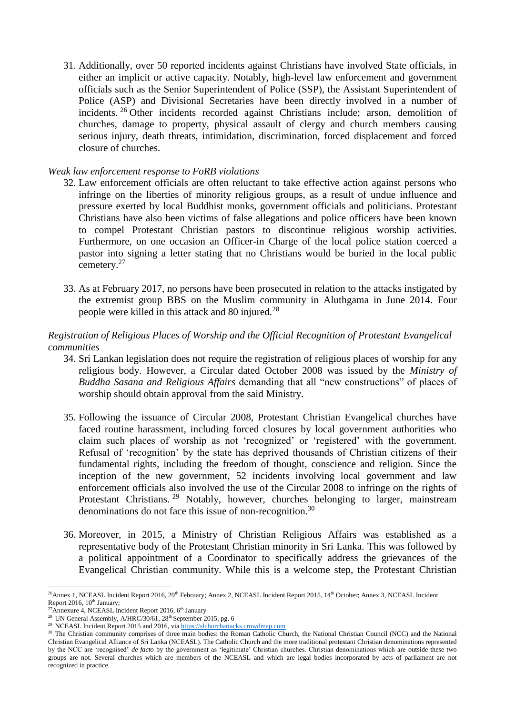31. Additionally, over 50 reported incidents against Christians have involved State officials, in either an implicit or active capacity. Notably, high-level law enforcement and government officials such as the Senior Superintendent of Police (SSP), the Assistant Superintendent of Police (ASP) and Divisional Secretaries have been directly involved in a number of incidents. <sup>26</sup> Other incidents recorded against Christians include; arson, demolition of churches, damage to property, physical assault of clergy and church members causing serious injury, death threats, intimidation, discrimination, forced displacement and forced closure of churches.

#### *Weak law enforcement response to FoRB violations*

- 32. Law enforcement officials are often reluctant to take effective action against persons who infringe on the liberties of minority religious groups, as a result of undue influence and pressure exerted by local Buddhist monks, government officials and politicians. Protestant Christians have also been victims of false allegations and police officers have been known to compel Protestant Christian pastors to discontinue religious worship activities. Furthermore, on one occasion an Officer-in Charge of the local police station coerced a pastor into signing a letter stating that no Christians would be buried in the local public cemetery.<sup>27</sup>
- 33. As at February 2017, no persons have been prosecuted in relation to the attacks instigated by the extremist group BBS on the Muslim community in Aluthgama in June 2014. Four people were killed in this attack and 80 injured.<sup>28</sup>

### *Registration of Religious Places of Worship and the Official Recognition of Protestant Evangelical communities*

- 34. Sri Lankan legislation does not require the registration of religious places of worship for any religious body. However, a Circular dated October 2008 was issued by the *Ministry of Buddha Sasana and Religious Affairs* demanding that all "new constructions" of places of worship should obtain approval from the said Ministry.
- 35. Following the issuance of Circular 2008, Protestant Christian Evangelical churches have faced routine harassment, including forced closures by local government authorities who claim such places of worship as not 'recognized' or 'registered' with the government. Refusal of 'recognition' by the state has deprived thousands of Christian citizens of their fundamental rights, including the freedom of thought, conscience and religion. Since the inception of the new government, 52 incidents involving local government and law enforcement officials also involved the use of the Circular 2008 to infringe on the rights of Protestant Christians.<sup>29</sup> Notably, however, churches belonging to larger, mainstream denominations do not face this issue of non-recognition.<sup>30</sup>
- 36. Moreover, in 2015, a Ministry of Christian Religious Affairs was established as a representative body of the Protestant Christian minority in Sri Lanka. This was followed by a political appointment of a Coordinator to specifically address the grievances of the Evangelical Christian community. While this is a welcome step, the Protestant Christian

<sup>&</sup>lt;sup>26</sup>Annex 1, NCEASL Incident Report 2016, 29<sup>th</sup> February; Annex 2, NCEASL Incident Report 2015, 14<sup>th</sup> October; Annex 3, NCEASL Incident Report 2016, 10<sup>th</sup> January:

<sup>&</sup>lt;sup>27</sup>Annexure 4, NCEASL Incident Report 2016,  $6<sup>th</sup>$  January

<sup>&</sup>lt;sup>28</sup> UN General Assembly, A/HRC/30/61,  $28<sup>th</sup>$  September 2015, pg. 6

<sup>&</sup>lt;sup>29</sup> NCEASL Incident Report 2015 and 2016, vi[a https://slchurchattacks.crowdmap.com](https://slchurchattacks.crowdmap.com/)

<sup>&</sup>lt;sup>30</sup> The Christian community comprises of three main bodies: the Roman Catholic Church, the National Christian Council (NCC) and the National Christian Evangelical Alliance of Sri Lanka (NCEASL). The Catholic Church and the more traditional protestant Christian denominations represented by the NCC are 'recognised' *de facto* by the government as 'legitimate' Christian churches. Christian denominations which are outside these two groups are not. Several churches which are members of the NCEASL and which are legal bodies incorporated by acts of parliament are not recognized in practice.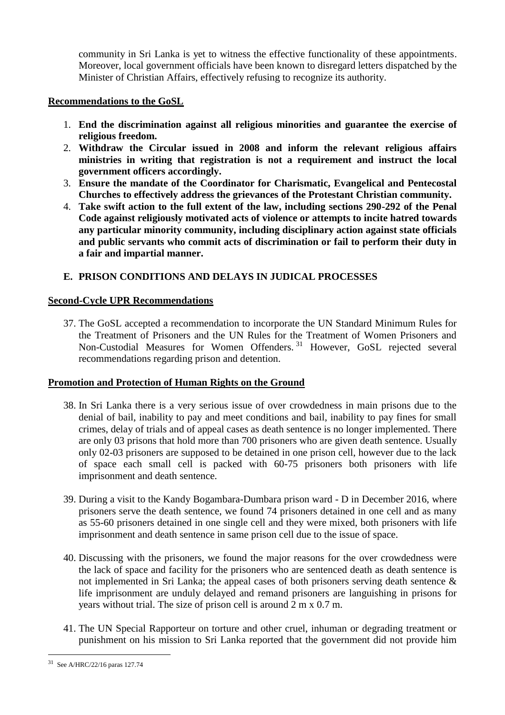community in Sri Lanka is yet to witness the effective functionality of these appointments. Moreover, local government officials have been known to disregard letters dispatched by the Minister of Christian Affairs, effectively refusing to recognize its authority.

### **Recommendations to the GoSL**

- 1. **End the discrimination against all religious minorities and guarantee the exercise of religious freedom.**
- 2. **Withdraw the Circular issued in 2008 and inform the relevant religious affairs ministries in writing that registration is not a requirement and instruct the local government officers accordingly.**
- 3. **Ensure the mandate of the Coordinator for Charismatic, Evangelical and Pentecostal Churches to effectively address the grievances of the Protestant Christian community.**
- 4. **Take swift action to the full extent of the law, including sections 290-292 of the Penal Code against religiously motivated acts of violence or attempts to incite hatred towards any particular minority community, including disciplinary action against state officials and public servants who commit acts of discrimination or fail to perform their duty in a fair and impartial manner.**

# **E. PRISON CONDITIONS AND DELAYS IN JUDICAL PROCESSES**

### **Second-Cycle UPR Recommendations**

37. The GoSL accepted a recommendation to incorporate the UN Standard Minimum Rules for the Treatment of Prisoners and the UN Rules for the Treatment of Women Prisoners and Non-Custodial Measures for Women Offenders.<sup>31</sup> However, GoSL rejected several recommendations regarding prison and detention.

#### **Promotion and Protection of Human Rights on the Ground**

- 38. In Sri Lanka there is a very serious issue of over crowdedness in main prisons due to the denial of bail, inability to pay and meet conditions and bail, inability to pay fines for small crimes, delay of trials and of appeal cases as death sentence is no longer implemented. There are only 03 prisons that hold more than 700 prisoners who are given death sentence. Usually only 02-03 prisoners are supposed to be detained in one prison cell, however due to the lack of space each small cell is packed with 60-75 prisoners both prisoners with life imprisonment and death sentence.
- 39. During a visit to the Kandy Bogambara-Dumbara prison ward D in December 2016, where prisoners serve the death sentence, we found 74 prisoners detained in one cell and as many as 55-60 prisoners detained in one single cell and they were mixed, both prisoners with life imprisonment and death sentence in same prison cell due to the issue of space.
- 40. Discussing with the prisoners, we found the major reasons for the over crowdedness were the lack of space and facility for the prisoners who are sentenced death as death sentence is not implemented in Sri Lanka; the appeal cases of both prisoners serving death sentence & life imprisonment are unduly delayed and remand prisoners are languishing in prisons for years without trial. The size of prison cell is around 2 m x 0.7 m.
- 41. The UN Special Rapporteur on torture and other cruel, inhuman or degrading treatment or punishment on his mission to Sri Lanka reported that the government did not provide him

<sup>31</sup> See A/HRC/22/16 paras 127.74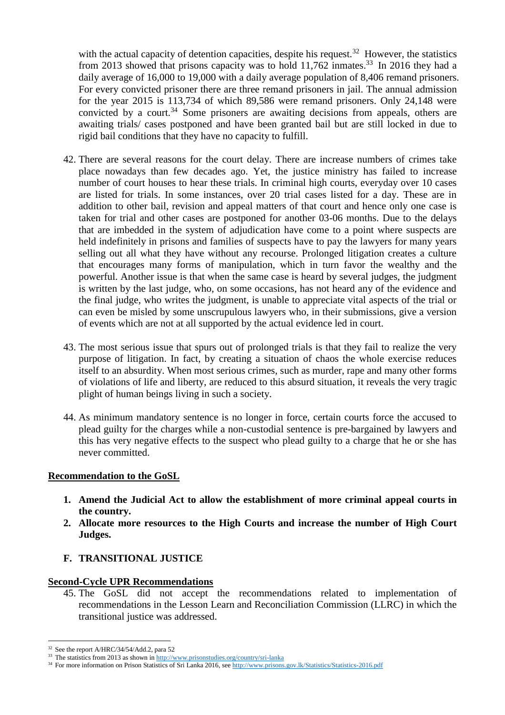with the actual capacity of detention capacities, despite his request.<sup>32</sup> However, the statistics from 2013 showed that prisons capacity was to hold 11,762 inmates.<sup>33</sup> In 2016 they had a daily average of 16,000 to 19,000 with a daily average population of 8,406 remand prisoners. For every convicted prisoner there are three remand prisoners in jail. The annual admission for the year 2015 is 113,734 of which 89,586 were remand prisoners. Only 24,148 were convicted by a court.<sup>34</sup> Some prisoners are awaiting decisions from appeals, others are awaiting trials/ cases postponed and have been granted bail but are still locked in due to rigid bail conditions that they have no capacity to fulfill.

- 42. There are several reasons for the court delay. There are increase numbers of crimes take place nowadays than few decades ago. Yet, the justice ministry has failed to increase number of court houses to hear these trials. In criminal high courts, everyday over 10 cases are listed for trials. In some instances, over 20 trial cases listed for a day. These are in addition to other bail, revision and appeal matters of that court and hence only one case is taken for trial and other cases are postponed for another 03-06 months. Due to the delays that are imbedded in the system of adjudication have come to a point where suspects are held indefinitely in prisons and families of suspects have to pay the lawyers for many years selling out all what they have without any recourse. Prolonged litigation creates a culture that encourages many forms of manipulation, which in turn favor the wealthy and the powerful. Another issue is that when the same case is heard by several judges, the judgment is written by the last judge, who, on some occasions, has not heard any of the evidence and the final judge, who writes the judgment, is unable to appreciate vital aspects of the trial or can even be misled by some unscrupulous lawyers who, in their submissions, give a version of events which are not at all supported by the actual evidence led in court.
- 43. The most serious issue that spurs out of prolonged trials is that they fail to realize the very purpose of litigation. In fact, by creating a situation of chaos the whole exercise reduces itself to an absurdity. When most serious crimes, such as murder, rape and many other forms of violations of life and liberty, are reduced to this absurd situation, it reveals the very tragic plight of human beings living in such a society.
- 44. As minimum mandatory sentence is no longer in force, certain courts force the accused to plead guilty for the charges while a non-custodial sentence is pre-bargained by lawyers and this has very negative effects to the suspect who plead guilty to a charge that he or she has never committed.

#### **Recommendation to the GoSL**

- **1. Amend the Judicial Act to allow the establishment of more criminal appeal courts in the country.**
- **2. Allocate more resources to the High Courts and increase the number of High Court Judges.**
- **F. TRANSITIONAL JUSTICE**

#### **Second-Cycle UPR Recommendations**

45. The GoSL did not accept the recommendations related to implementation of recommendations in the Lesson Learn and Reconciliation Commission (LLRC) in which the transitional justice was addressed.

<sup>32</sup> See the report A/HRC/34/54/Add.2, para 52

<sup>&</sup>lt;sup>33</sup> The statistics from 2013 as shown i[n http://www.prisonstudies.org/country/sri-lanka](http://www.prisonstudies.org/country/sri-lanka)

<sup>&</sup>lt;sup>34</sup> For more information on Prison Statistics of Sri Lanka 2016, see<http://www.prisons.gov.lk/Statistics/Statistics-2016.pdf>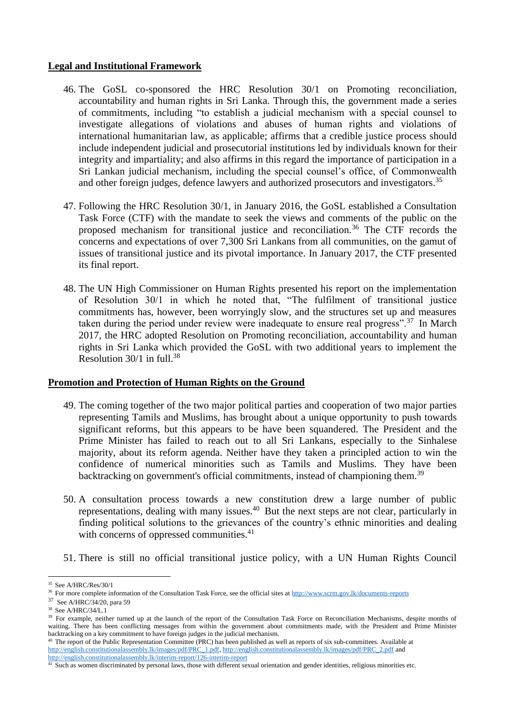### **Legal and Institutional Framework**

- 46. The GoSL co-sponsored the HRC Resolution 30/1 on Promoting reconciliation, accountability and human rights in Sri Lanka. Through this, the government made a series of commitments, including "to establish a judicial mechanism with a special counsel to investigate allegations of violations and abuses of human rights and violations of international humanitarian law, as applicable; affirms that a credible justice process should include independent judicial and prosecutorial institutions led by individuals known for their integrity and impartiality; and also affirms in this regard the importance of participation in a Sri Lankan judicial mechanism, including the special counsel's office, of Commonwealth and other foreign judges, defence lawyers and authorized prosecutors and investigators. 35
- 47. Following the HRC Resolution 30/1, in January 2016, the GoSL established a Consultation Task Force (CTF) with the mandate to seek the views and comments of the public on the proposed mechanism for transitional justice and reconciliation.<sup>36</sup> The CTF records the concerns and expectations of over 7,300 Sri Lankans from all communities, on the gamut of issues of transitional justice and its pivotal importance. In January 2017, the CTF presented its final report.
- 48. The UN High Commissioner on Human Rights presented his report on the implementation of Resolution 30/1 in which he noted that, "The fulfilment of transitional justice commitments has, however, been worryingly slow, and the structures set up and measures taken during the period under review were inadequate to ensure real progress".<sup>37</sup> In March 2017, the HRC adopted Resolution on Promoting reconciliation, accountability and human rights in Sri Lanka which provided the GoSL with two additional years to implement the Resolution 30/1 in full. 38

#### **Promotion and Protection of Human Rights on the Ground**

- 49. The coming together of the two major political parties and cooperation of two major parties representing Tamils and Muslims, has brought about a unique opportunity to push towards significant reforms, but this appears to be have been squandered. The President and the Prime Minister has failed to reach out to all Sri Lankans, especially to the Sinhalese majority, about its reform agenda. Neither have they taken a principled action to win the confidence of numerical minorities such as Tamils and Muslims. They have been backtracking on government's official commitments, instead of championing them.<sup>39</sup>
- 50. A consultation process towards a new constitution drew a large number of public representations, dealing with many issues.<sup>40</sup> But the next steps are not clear, particularly in finding political solutions to the grievances of the country's ethnic minorities and dealing with concerns of oppressed communities.<sup>41</sup>
- 51. There is still no official transitional justice policy, with a UN Human Rights Council

 $\overline{a}$ <sup>35</sup> See A/HRC/Res/30/1

<sup>&</sup>lt;sup>36</sup> For more complete information of the Consultation Task Force, see the official sites a[t http://www.scrm.gov.lk/documents-reports](http://www.scrm.gov.lk/documents-reports)

<sup>37</sup> See A/HRC/34/20, para 59

<sup>&</sup>lt;sup>38</sup> See A/HRC/34/L.1

<sup>&</sup>lt;sup>39</sup> For example, neither turned up at the launch of the report of the Consultation Task Force on Reconciliation Mechanisms, despite months of waiting. There has been conflicting messages from within the government about commitments made, with the President and Prime Minister backtracking on a key commitment to have foreign judges in the judicial mechanism.

<sup>&</sup>lt;sup>40</sup> The report of the Public Representation Committee (PRC) has been published as well as reports of six sub-committees. Available at [http://english.constitutionalassembly.lk/images/pdf/PRC\\_1.pdf,](http://english.constitutionalassembly.lk/images/pdf/PRC_1.pdf) [http://english.constitutionalassembly.lk/images/pdf/PRC\\_2.pdf](http://english.constitutionalassembly.lk/images/pdf/PRC_2.pdf) and <http://english.constitutionalassembly.lk/interim-report/126-interim-report>

 $41$  Such as women discriminated by personal laws, those with different sexual orientation and gender identities, religious minorities etc.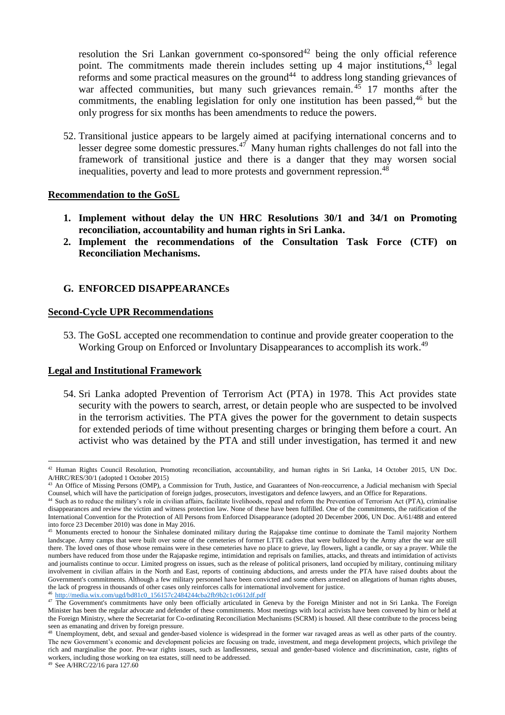resolution the Sri Lankan government co-sponsored<sup>42</sup> being the only official reference point. The commitments made therein includes setting up 4 major institutions,<sup>43</sup> legal reforms and some practical measures on the ground<sup>44</sup> to address long standing grievances of war affected communities, but many such grievances remain.  $4\overline{5}$  17 months after the commitments, the enabling legislation for only one institution has been passed, <sup>46</sup> but the only progress for six months has been amendments to reduce the powers.

52. Transitional justice appears to be largely aimed at pacifying international concerns and to lesser degree some domestic pressures.<sup>47</sup> Many human rights challenges do not fall into the framework of transitional justice and there is a danger that they may worsen social inequalities, poverty and lead to more protests and government repression. 48

#### **Recommendation to the GoSL**

- **1. Implement without delay the UN HRC Resolutions 30/1 and 34/1 on Promoting reconciliation, accountability and human rights in Sri Lanka.**
- **2. Implement the recommendations of the Consultation Task Force (CTF) on Reconciliation Mechanisms.**

### **G. ENFORCED DISAPPEARANCEs**

#### **Second-Cycle UPR Recommendations**

53. The GoSL accepted one recommendation to continue and provide greater cooperation to the Working Group on Enforced or Involuntary Disappearances to accomplish its work.<sup>49</sup>

#### **Legal and Institutional Framework**

54. Sri Lanka adopted Prevention of Terrorism Act (PTA) in 1978. This Act provides state security with the powers to search, arrest, or detain people who are suspected to be involved in the terrorism activities. The PTA gives the power for the government to detain suspects for extended periods of time without presenting charges or bringing them before a court. An activist who was detained by the PTA and still under investigation, has termed it and new

 $\overline{a}$  $42$  Human Rights Council Resolution, Promoting reconciliation, accountability, and human rights in Sri Lanka, 14 October 2015, UN Doc. A/HRC/RES/30/1 (adopted 1 October 2015)

<sup>&</sup>lt;sup>43</sup> An Office of Missing Persons (OMP), a Commission for Truth, Justice, and Guarantees of Non-reoccurrence, a Judicial mechanism with Special Counsel, which will have the participation of foreign judges, prosecutors, investigators and defence lawyers, and an Office for Reparations.

Such as to reduce the military's role in civilian affairs, facilitate livelihoods, repeal and reform the Prevention of Terrorism Act (PTA), criminalise disappearances and review the victim and witness protection law. None of these have been fulfilled. One of the commitments, the ratification of the International Convention for the Protection of All Persons from Enforced Disappearance (adopted 20 December 2006, UN Doc. A/61/488 and entered into force 23 December 2010) was done in May 2016.

<sup>&</sup>lt;sup>45</sup> Monuments erected to honour the Sinhalese dominated military during the Rajapakse time continue to dominate the Tamil majority Northern landscape. Army camps that were built over some of the cemeteries of former LTTE cadres that were bulldozed by the Army after the war are still there. The loved ones of those whose remains were in these cemeteries have no place to grieve, lay flowers, light a candle, or say a prayer. While the numbers have reduced from those under the Rajapaske regime, intimidation and reprisals on families, attacks, and threats and intimidation of activists and journalists continue to occur. Limited progress on issues, such as the release of political prisoners, land occupied by military, continuing military involvement in civilian affairs in the North and East, reports of continuing abductions, and arrests under the PTA have raised doubts about the Government's commitments. Although a few military personnel have been convicted and some others arrested on allegations of human rights abuses, the lack of progress in thousands of other cases only reinforces calls for international involvement for justice. [http://media.wix.com/ugd/bd81c0\\_156157c2484244cba2fb9b2c1c0612df.pdf](http://media.wix.com/ugd/bd81c0_156157c2484244cba2fb9b2c1c0612df.pdf)

<sup>&</sup>lt;sup>47</sup> The Government's commitments have only been officially articulated in Geneva by the Foreign Minister and not in Sri Lanka. The Foreign Minister has been the regular advocate and defender of these commitments. Most meetings with local activists have been convened by him or held at the Foreign Ministry, where the Secretariat for Co-ordinating Reconciliation Mechanisms (SCRM) is housed. All these contribute to the process being seen as emanating and driven by foreign pressure.

<sup>&</sup>lt;sup>48</sup> Unemployment, debt, and sexual and gender-based violence is widespread in the former war ravaged areas as well as other parts of the country. The new Government's economic and development policies are focusing on trade, investment, and mega development projects, which privilege the rich and marginalise the poor. Pre-war rights issues, such as landlessness, sexual and gender-based violence and discrimination, caste, rights of workers, including those working on tea estates, still need to be addressed.

<sup>49</sup> See A/HRC/22/16 para 127.60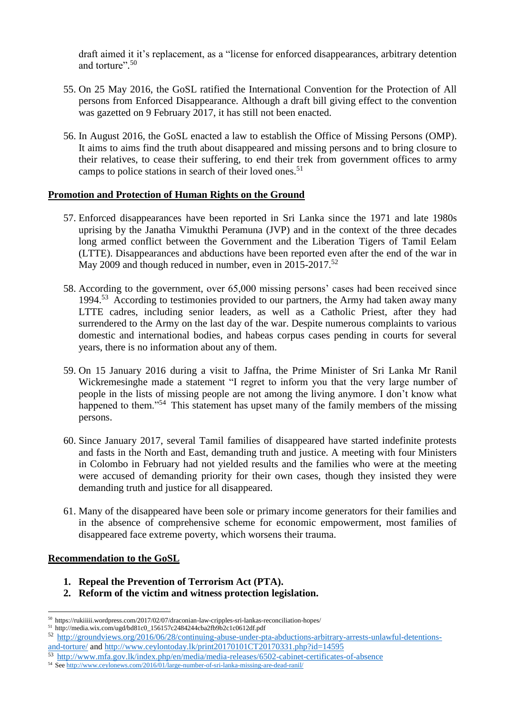draft aimed it it's replacement, as a "license for enforced disappearances, arbitrary detention and torture".<sup>50</sup>

- 55. On 25 May 2016, the GoSL ratified the International Convention for the Protection of All persons from Enforced Disappearance. Although a draft bill giving effect to the convention was gazetted on 9 February 2017, it has still not been enacted.
- 56. In August 2016, the GoSL enacted a law to establish the Office of Missing Persons (OMP). It aims to aims find the truth about disappeared and missing persons and to bring closure to their relatives, to cease their suffering, to end their trek from government offices to army camps to police stations in search of their loved ones.<sup>51</sup>

### **Promotion and Protection of Human Rights on the Ground**

- 57. Enforced disappearances have been reported in Sri Lanka since the 1971 and late 1980s uprising by the Janatha Vimukthi Peramuna (JVP) and in the context of the three decades long armed conflict between the Government and the Liberation Tigers of Tamil Eelam (LTTE). Disappearances and abductions have been reported even after the end of the war in May 2009 and though reduced in number, even in 2015-2017.<sup>52</sup>
- 58. According to the government, over 65,000 missing persons' cases had been received since 1994.<sup>53</sup> According to testimonies provided to our partners, the Army had taken away many LTTE cadres, including senior leaders, as well as a Catholic Priest, after they had surrendered to the Army on the last day of the war. Despite numerous complaints to various domestic and international bodies, and habeas corpus cases pending in courts for several years, there is no information about any of them.
- 59. On 15 January 2016 during a visit to Jaffna, the Prime Minister of Sri Lanka Mr Ranil Wickremesinghe made a statement "I regret to inform you that the very large number of people in the lists of missing people are not among the living anymore. I don't know what happened to them."<sup>54</sup> This statement has upset many of the family members of the missing persons.
- 60. Since January 2017, several Tamil families of disappeared have started indefinite protests and fasts in the North and East, demanding truth and justice. A meeting with four Ministers in Colombo in February had not yielded results and the families who were at the meeting were accused of demanding priority for their own cases, though they insisted they were demanding truth and justice for all disappeared.
- 61. Many of the disappeared have been sole or primary income generators for their families and in the absence of comprehensive scheme for economic empowerment, most families of disappeared face extreme poverty, which worsens their trauma.

#### **Recommendation to the GoSL**

- **1. Repeal the Prevention of Terrorism Act (PTA).**
- **2. Reform of the victim and witness protection legislation.**

 $\overline{a}$ <sup>50</sup> https://rukiiiii.wordpress.com/2017/02/07/draconian-law-cripples-sri-lankas-reconciliation-hopes/

<sup>51</sup> http://media.wix.com/ugd/bd81c0\_156157c2484244cba2fb9b2c1c0612df.pdf

<sup>52</sup> [http://groundviews.org/2016/06/28/continuing-abuse-under-pta-abductions-arbitrary-arrests-unlawful-detentions](http://groundviews.org/2016/06/28/continuing-abuse-under-pta-abductions-arbitrary-arrests-unlawful-detentions-and-torture/)[and-torture/](http://groundviews.org/2016/06/28/continuing-abuse-under-pta-abductions-arbitrary-arrests-unlawful-detentions-and-torture/) and<http://www.ceylontoday.lk/print20170101CT20170331.php?id=14595>

<sup>53</sup> <http://www.mfa.gov.lk/index.php/en/media/media-releases/6502-cabinet-certificates-of-absence>

<sup>54</sup> Se[e http://www.ceylonews.com/2016/01/large-number-of-sri-lanka-missing-are-dead-ranil/](http://www.ceylonews.com/2016/01/large-number-of-sri-lanka-missing-are-dead-ranil/)